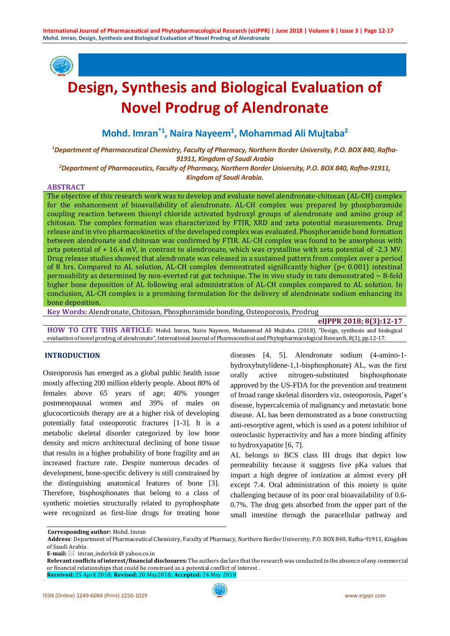

# **Design, Synthesis and Biological Evaluation of Novel Prodrug of Alendronate**

**Mohd. Imran\*1, Naira Nayeem1 , Mohammad Ali Mujtaba2**

*1 Department of Pharmaceutical Chemistry, Faculty of Pharmacy, Northern Border University, P.O. BOX 840, Rafha-91911, Kingdom of Saudi Arabia*

*2 Department of Pharmaceutics, Faculty of Pharmacy, Northern Border University, P.O. BOX 840, Rafha-91911, Kingdom of Saudi Arabia.*

#### **ABSTRACT**

The objective of this research work was to develop and evaluate novel alendronate-chitosan (AL-CH) complex for the enhancement of bioavailability of alendronate. AL-CH complex was prepared by phosphoramide coupling reaction between thionyl chloride activated hydroxyl groups of alendronate and amino group of chitosan. The complex formation was characterized by FTIR, XRD and zeta potential measurements. Drug release and in vivo pharmacokinetics of the developed complex was evaluated. Phosphoramide bond formation between alendronate and chitosan was confirmed by FTIR. AL-CH complex was found to be amorphous with zeta potential of + 16.4 mV, in contrast to alendronate, which was crystalline with zeta potential of -2.3 MV. Drug release studies showed that alendronate was released in a sustained pattern from complex over a period of 8 hrs. Compared to AL solution, AL-CH complex demonstrated significantly higher (p< 0.001) intestinal permeability as determined by non-everted rat gut technique. The in vivo study in rats demonstrated  $\sim 8$ -fold higher bone deposition of AL following oral administration of AL-CH complex compared to AL solution. In conclusion, AL-CH complex is a promising formulation for the delivery of alendronate sodium enhancing its bone deposition.

**Key Words:** Alendronate, Chitosan, Phosphoramide bonding, Osteoporosis, Prodrug

# **eIJPPR 2018; 8(3):12-17**

**HOW TO CITE THIS ARTICLE:** Mohd. Imran, Naira Nayeem, Mohammad Ali Mujtaba. (2018). "Design, synthesis and biological evaluation of novel prodrug of alendronate", International Journal of Pharmaceutical and Phytopharmacological Research, 8(3), pp.12-17.

# **INTRODUCTION**

Osteoporosis has emerged as a global public health issue mostly affecting 200 million elderly people. About 80% of females above 65 years of age; 40% younger postmenopausal women and 39% of males on glucocorticoids therapy are at a higher risk of developing potentially fatal osteoporotic fractures [1-3]. It is a metabolic skeletal disorder categorized by low bone density and micro architectural declining of bone tissue that results in a higher probability of bone fragility and an increased fracture rate. Despite numerous decades of development, bone-specific delivery is still constrained by the distinguishing anatomical features of bone [3]. Therefore, bisphosphonates that belong to a class of synthetic moieties structurally related to pyrophosphate were recognized as first-line drugs for treating bone

diseases [4, 5]. Alendronate sodium (4-amino-1 hydroxybutylidene-1,1-bisphosphonate) AL, was the first orally active nitrogen-substituted bisphosphonate approved by the US-FDA for the prevention and treatment of broad range skeletal disorders viz. osteoporosis, Paget's disease, hypercalcemia of malignancy and metastatic bone disease. AL has been demonstrated as a bone constructing anti-resorptive agent, which is used as a potent inhibitor of osteoclastic hyperactivity and has a more binding affinity to hydroxyapatite [6, 7].

AL belongs to BCS class III drugs that depict low permeability because it suggests five pKa values that impart a high degree of ionization at almost every pH except 7.4. Oral administration of this moiety is quite challenging because of its poor oral bioavailability of 0.6- 0.7%. The drug gets absorbed from the upper part of the small intestine through the paracellular pathway and

**E-mail:**  $\boxtimes$  imran inderlok @ vahoo.co.in

**Corresponding author:** Mohd. Imran

**Address**: Department of Pharmaceutical Chemistry, Faculty of Pharmacy, Northern Border University, P.O. BOX 840, Rafha-91911, Kingdom of Saudi Arabia .

**Relevant conflicts of interest/financial disclosures:** The authors declare that the research was conducted in the absence of any commercial or financial relationships that could be construed as a potential conflict of interest .

**Received:** 25 April 2018; **Revised:** 20 May2018; **Accepted:** 24 May 2018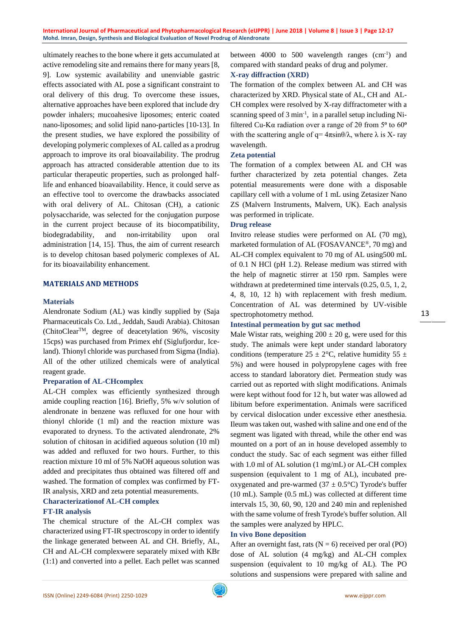ultimately reaches to the bone where it gets accumulated at active remodeling site and remains there for many years [8, 9]. Low systemic availability and unenviable gastric effects associated with AL pose a significant constraint to oral delivery of this drug. To overcome these issues, alternative approaches have been explored that include dry powder inhalers; mucoahesive liposomes; enteric coated nano-liposomes; and solid lipid nano-particles [10-13]. In the present studies, we have explored the possibility of developing polymeric complexes of AL called as a prodrug approach to improve its oral bioavailability. The prodrug approach has attracted considerable attention due to its particular therapeutic properties, such as prolonged halflife and enhanced bioavailability. Hence, it could serve as an effective tool to overcome the drawbacks associated with oral delivery of AL. Chitosan (CH), a cationic polysaccharide, was selected for the conjugation purpose in the current project because of its biocompatibility, biodegradability, and non-irritability upon oral administration [14, 15]. Thus, the aim of current research is to develop chitosan based polymeric complexes of AL for its bioavailability enhancement.

# **MATERIALS AND METHODS**

# **Materials**

Alendronate Sodium (AL) was kindly supplied by (Saja Pharmaceuticals Co. Ltd., Jeddah, Saudi Arabia). Chitosan (ChitoClear<sup>TM</sup>, degree of deacetylation 96%, viscosity 15cps) was purchased from Primex ehf (Siglufjordur, Iceland). Thionyl chloride was purchased from Sigma (India). All of the other utilized chemicals were of analytical reagent grade.

# **Preparation of AL-CHcomplex**

AL-CH complex was efficiently synthesized through amide coupling reaction [16]. Briefly, 5% w/v solution of alendronate in benzene was refluxed for one hour with thionyl chloride (1 ml) and the reaction mixture was evaporated to dryness. To the activated alendronate, 2% solution of chitosan in acidified aqueous solution (10 ml) was added and refluxed for two hours. Further, to this reaction mixture 10 ml of 5% NaOH aqueous solution was added and precipitates thus obtained was filtered off and washed. The formation of complex was confirmed by FT-IR analysis, XRD and zeta potential measurements.

# **Characterizationof AL-CH complex**

**FT-IR analysis**

The chemical structure of the AL-CH complex was characterized using FT-IR spectroscopy in order to identify the linkage generated between AL and CH. Briefly, AL, CH and AL-CH complexwere separately mixed with KBr (1:1) and converted into a pellet. Each pellet was scanned

between 4000 to 500 wavelength ranges (cm<sup>-1</sup>) and compared with standard peaks of drug and polymer.

# **X-ray diffraction (XRD)**

The formation of the complex between AL and CH was characterized by XRD. Physical state of AL, CH and AL-CH complex were resolved by X-ray diffractometer with a scanning speed of 3 min<sup>-1</sup>, in a parallel setup including Nifiltered Cu-Kα radiation over a range of 2θ from  $5^{\circ}$  to  $60^{\circ}$ with the scattering angle of  $q = 4\pi \sin{\theta}/\lambda$ , where  $\lambda$  is X-ray wavelength.

# **Zeta potential**

The formation of a complex between AL and CH was further characterized by zeta potential changes. Zeta potential measurements were done with a disposable capillary cell with a volume of 1 mL using Zetasizer Nano ZS (Malvern Instruments, Malvern, UK). Each analysis was performed in triplicate.

# **Drug release**

Invitro release studies were performed on AL (70 mg), marketed formulation of AL (FOSAVANCE®, 70 mg) and AL-CH complex equivalent to 70 mg of AL using500 mL of 0.1 N HCl (pH 1.2). Release medium was stirred with the help of magnetic stirrer at 150 rpm. Samples were withdrawn at predetermined time intervals (0.25, 0.5, 1, 2, 4, 8, 10, 12 h) with replacement with fresh medium. Concentration of AL was determined by UV-visible spectrophotometry method.

# **Intestinal permeation by gut sac method**

Male Wistar rats, weighing  $200 \pm 20$  g, were used for this study. The animals were kept under standard laboratory conditions (temperature  $25 \pm 2$ °C, relative humidity 55  $\pm$ 5%) and were housed in polypropylene cages with free access to standard laboratory diet. Permeation study was carried out as reported with slight modifications. Animals were kept without food for 12 h, but water was allowed ad libitum before experimentation. Animals were sacrificed by cervical dislocation under excessive ether anesthesia. Ileum was taken out, washed with saline and one end of the segment was ligated with thread, while the other end was mounted on a port of an in house developed assembly to conduct the study. Sac of each segment was either filled with 1.0 ml of AL solution (1 mg/mL) or AL-CH complex suspension (equivalent to 1 mg of AL), incubated preoxygenated and pre-warmed ( $37 \pm 0.5$ °C) Tyrode's buffer (10 mL). Sample (0.5 mL) was collected at different time intervals 15, 30, 60, 90, 120 and 240 min and replenished with the same volume of fresh Tyrode's buffer solution. All the samples were analyzed by HPLC.

# **In vivo Bone deposition**

After an overnight fast, rats  $(N = 6)$  received per oral (PO) dose of AL solution (4 mg/kg) and AL-CH complex suspension (equivalent to 10 mg/kg of AL). The PO solutions and suspensions were prepared with saline and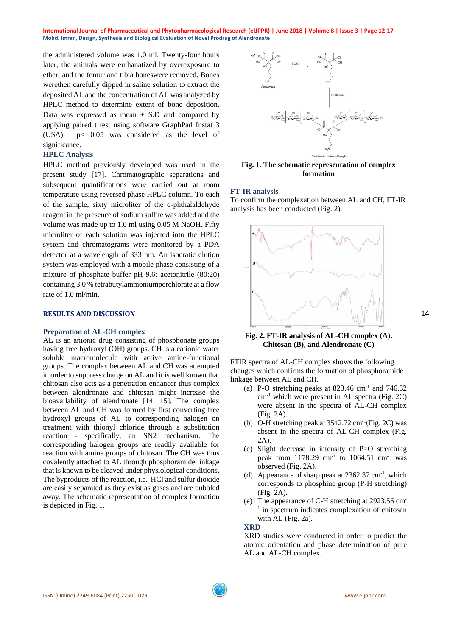**International Journal of Pharmaceutical and Phytopharmacological Research (eIJPPR) | June 2018 | Volume 8 | Issue 3 | Page 12-17 Mohd. Imran, Design, Synthesis and Biological Evaluation of Novel Prodrug of Alendronate**

the administered volume was 1.0 ml. Twenty-four hours later, the animals were euthanatized by overexposure to ether, and the femur and tibia boneswere removed. Bones werethen carefully dipped in saline solution to extract the deposited AL and the concentration of AL was analyzed by HPLC method to determine extent of bone deposition. Data was expressed as mean  $\pm$  S.D and compared by applying paired t test using software GraphPad Instat 3 (USA). p< 0.05 was considered as the level of significance.

#### **HPLC Analysis**

HPLC method previously developed was used in the present study [17]. Chromatographic separations and subsequent quantifications were carried out at room temperature using reversed phase HPLC column. To each of the sample, sixty microliter of the o-phthalaldehyde reagent in the presence of sodium sulfite was added and the volume was made up to 1.0 ml using 0.05 M NaOH. Fifty microliter of each solution was injected into the HPLC system and chromatograms were monitored by a PDA detector at a wavelength of 333 nm. An isocratic elution system was employed with a mobile phase consisting of a mixture of phosphate buffer pH 9.6: acetonitrile (80:20) containing 3.0 % tetrabutylammoniumperchlorate at a flow rate of 1.0 ml/min.

#### **RESULTS AND DISCUSSION**

#### **Preparation of AL-CH complex**

AL is an anionic drug consisting of phosphonate groups having free hydroxyl (OH) groups. CH is a cationic water soluble macromolecule with active amine-functional groups. The complex between AL and CH was attempted in order to suppress charge on AL and it is well known that chitosan also acts as a penetration enhancer thus complex between alendronate and chitosan might increase the bioavailability of alendronate [14, 15]. The complex between AL and CH was formed by first converting free hydroxyl groups of AL to corresponding halogen on treatment with thionyl chloride through a substitution reaction - specifically, an SN2 mechanism. The corresponding halogen groups are readily available for reaction with amine groups of chitosan. The CH was thus covalently attached to AL through phosphoramide linkage that is known to be cleaved under physiological conditions. The byproducts of the reaction, i.e. HCl and sulfur dioxide are easily separated as they exist as gases and are bubbled away. The schematic representation of complex formation is depicted in Fig. 1.



**Fig. 1. The schematic representation of complex formation**

#### **FT-IR analysis**

To confirm the complexation between AL and CH, FT-IR analysis has been conducted (Fig. 2).



# **Fig. 2. FT-IR analysis of AL-CH complex (A), Chitosan (B), and Alendronate (C)**

FTIR spectra of AL-CH complex shows the following changes which confirms the formation of phosphoramide linkage between AL and CH.

- (a) P-O stretching peaks at  $823.46$  cm<sup>-1</sup> and  $746.32$  $cm<sup>-1</sup>$  which were present in AL spectra (Fig. 2C) were absent in the spectra of AL-CH complex (Fig. 2A).
- (b) O-H stretching peak at  $3542.72 \text{ cm}^{-1}$  (Fig. 2C) was absent in the spectra of AL-CH complex (Fig. 2A).
- (c) Slight decrease in intensity of P=O stretching peak from 1178.29 cm<sup>-1</sup> to 1064.51 cm<sup>-1</sup> was observed (Fig. 2A).
- (d) Appearance of sharp peak at 2362.37 cm-1 , which corresponds to phosphine group (P-H stretching) (Fig. 2A).
- (e) The appearance of C-H stretching at 2923.56 cm-<sup>1</sup> in spectrum indicates complexation of chitosan with AL (Fig. 2a).

**XRD**

XRD studies were conducted in order to predict the atomic orientation and phase determination of pure AL and AL-CH complex.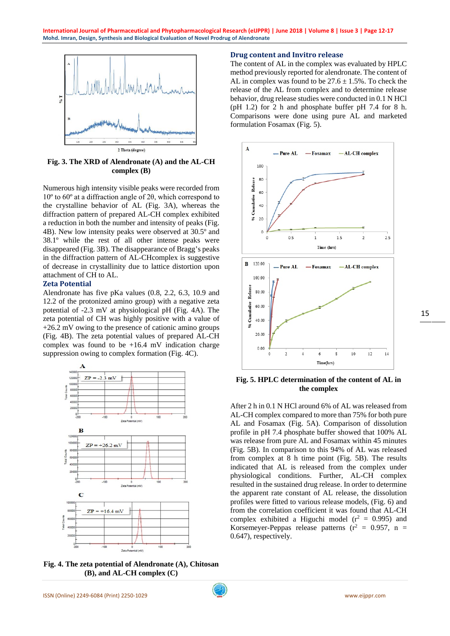

**Fig. 3. The XRD of Alendronate (A) and the AL-CH complex (B)**

Numerous high intensity visible peaks were recorded from 10º to 60º at a diffraction angle of 2θ, which correspond to the crystalline behavior of AL (Fig. 3A), whereas the diffraction pattern of prepared AL-CH complex exhibited a reduction in both the number and intensity of peaks (Fig. 4B). New low intensity peaks were observed at 30.5º and 38.1º while the rest of all other intense peaks were disappeared (Fig. 3B). The disappearance of Bragg's peaks in the diffraction pattern of AL-CHcomplex is suggestive of decrease in crystallinity due to lattice distortion upon attachment of CH to AL.

# **Zeta Potential**

Alendronate has five pKa values (0.8, 2.2, 6.3, 10.9 and 12.2 of the protonized amino group) with a negative zeta potential of -2.3 mV at physiological pH (Fig. 4A). The zeta potential of CH was highly positive with a value of +26.2 mV owing to the presence of cationic amino groups (Fig. 4B). The zeta potential values of prepared AL-CH complex was found to be  $+16.4$  mV indication charge suppression owing to complex formation (Fig. 4C).



**Fig. 4. The zeta potential of Alendronate (A), Chitosan (B), and AL-CH complex (C)** 

# **Drug content and Invitro release**

The content of AL in the complex was evaluated by HPLC method previously reported for alendronate. The content of AL in complex was found to be  $27.6 \pm 1.5$ %. To check the release of the AL from complex and to determine release behavior, drug release studies were conducted in 0.1 N HCl (pH 1.2) for 2 h and phosphate buffer pH 7.4 for 8 h. Comparisons were done using pure AL and marketed formulation Fosamax (Fig. 5).



**Fig. 5. HPLC determination of the content of AL in the complex**

After 2 h in 0.1 N HCl around 6% of AL was released from AL-CH complex compared to more than 75% for both pure AL and Fosamax (Fig. 5A). Comparison of dissolution profile in pH 7.4 phosphate buffer showed that 100% AL was release from pure AL and Fosamax within 45 minutes (Fig. 5B). In comparison to this 94% of AL was released from complex at 8 h time point (Fig. 5B). The results indicated that AL is released from the complex under physiological conditions. Further, AL-CH complex resulted in the sustained drug release. In order to determine the apparent rate constant of AL release, the dissolution profiles were fitted to various release models, (Fig. 6) and from the correlation coefficient it was found that AL-CH complex exhibited a Higuchi model  $(r^2 = 0.995)$  and Korsemeyer-Peppas release patterns  $(r^2 = 0.957, n =$ 0.647), respectively.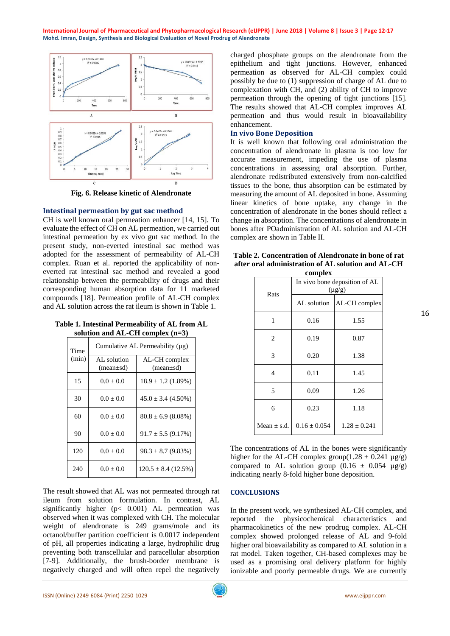

**Fig. 6. Release kinetic of Alendronate**

# **Intestinal permeation by gut sac method**

CH is well known oral permeation enhancer [14, 15]. To evaluate the effect of CH on AL permeation, we carried out intestinal permeation by ex vivo gut sac method. In the present study, non-everted intestinal sac method was adopted for the assessment of permeability of AL-CH complex. Ruan et al. reported the applicability of noneverted rat intestinal sac method and revealed a good relationship between the permeability of drugs and their corresponding human absorption data for 11 marketed compounds [18]. Permeation profile of AL-CH complex and AL solution across the rat ileum is shown in Table 1.

# **Table 1. Intestinal Permeability of AL from AL solution and AL-CH complex (n=3)**

| Time<br>(min) | Cumulative AL Permeability $(\mu g)$ |                                  |  |
|---------------|--------------------------------------|----------------------------------|--|
|               | AL solution<br>$(mean \pm sd)$       | AL-CH complex<br>$(mean \pm sd)$ |  |
| 15            | $0.0 + 0.0$                          | $18.9 \pm 1.2$ (1.89%)           |  |
| 30            | $0.0 \pm 0.0$                        | $45.0 \pm 3.4$ (4.50%)           |  |
| 60            | $0.0 + 0.0$                          | $80.8 \pm 6.9$ (8.08%)           |  |
| 90            | $0.0 + 0.0$                          | $91.7 \pm 5.5$ (9.17%)           |  |
| 120           | $0.0 \pm 0.0$                        | $98.3 \pm 8.7 (9.83\%)$          |  |
| 240           | $0.0 \pm 0.0$                        | $120.5 \pm 8.4$ (12.5%)          |  |

The result showed that AL was not permeated through rat ileum from solution formulation. In contrast, AL significantly higher  $(p< 0.001)$  AL permeation was observed when it was complexed with CH. The molecular weight of alendronate is 249 grams/mole and its octanol/buffer partition coefficient is 0.0017 independent of pH, all properties indicating a large, hydrophilic drug preventing both transcellular and paracellular absorption [7-9]. Additionally, the brush-border membrane is negatively charged and will often repel the negatively charged phosphate groups on the alendronate from the epithelium and tight junctions. However, enhanced permeation as observed for AL-CH complex could possibly be due to (1) suppression of charge of AL due to complexation with CH, and (2) ability of CH to improve permeation through the opening of tight junctions [15]. The results showed that AL-CH complex improves AL permeation and thus would result in bioavailability enhancement.

# **In vivo Bone Deposition**

It is well known that following oral administration the concentration of alendronate in plasma is too low for accurate measurement, impeding the use of plasma concentrations in assessing oral absorption. Further, alendronate redistributed extensively from non-calcified tissues to the bone, thus absorption can be estimated by measuring the amount of AL deposited in bone. Assuming linear kinetics of bone uptake, any change in the concentration of alendronate in the bones should reflect a change in absorption. The concentrations of alendronate in bones after POadministration of AL solution and AL-CH complex are shown in Table II.

| Table 2. Concentration of Alendronate in bone of rat |
|------------------------------------------------------|
| after oral administration of AL solution and AL-CH   |
| complex                                              |

|                 | COMPICA                                      |                  |
|-----------------|----------------------------------------------|------------------|
| Rats            | In vivo bone deposition of AL<br>$(\mu g/g)$ |                  |
|                 | AL solution                                  | AL-CH complex    |
| 1               | 0.16                                         | 1.55             |
| $\overline{c}$  | 0.19                                         | 0.87             |
| 3               | 0.20                                         | 1.38             |
| 4               | 0.11                                         | 1.45             |
| 5               | 0.09                                         | 1.26             |
| 6               | 0.23                                         | 1.18             |
| Mean $\pm$ s.d. | $0.16 \pm 0.054$                             | $1.28 \pm 0.241$ |

The concentrations of AL in the bones were significantly higher for the AL-CH complex group( $1.28 \pm 0.241 \mu$ g/g) compared to AL solution group  $(0.16 \pm 0.054 \text{ µg/g})$ indicating nearly 8-fold higher bone deposition.

# **CONCLUSIONS**

In the present work, we synthesized AL-CH complex, and reported the physicochemical characteristics and pharmacokinetics of the new prodrug complex. AL-CH complex showed prolonged release of AL and 9-fold higher oral bioavailability as compared to AL solution in a rat model. Taken together, CH-based complexes may be used as a promising oral delivery platform for highly ionizable and poorly permeable drugs. We are currently